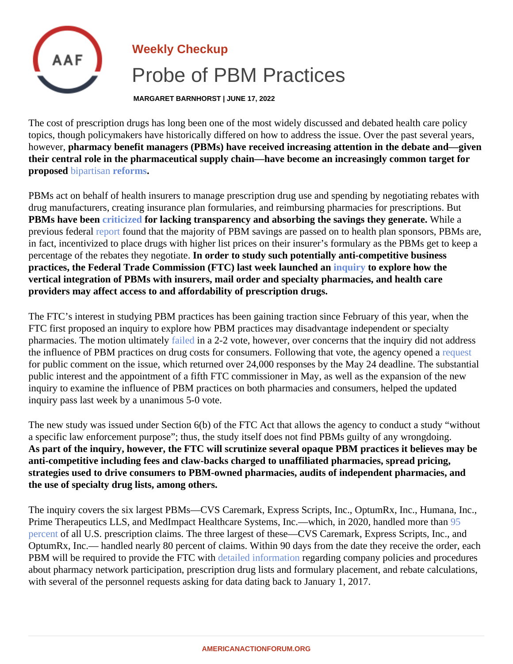## Weekly Checkup Probe of PBM Practices

MARGARET BARNHORST | JUNE 17, 2022

The cost of prescription drugs has long been one of the most widely discussed and debated health care policy topics, though policymakers have historically differed on how to address the issue. Over the past several year however, pharmacy benefit managers (PBMs) have received increasing attention in the debate and—given their central role in the pharmaceutical supply chain—have become an increasingly common target for propose[d bipartisan](�� h t t p s : / / w w w . c o m m e r c e . s e n a t e . g o v / 2 0 2 2 / 5 / c a n t w e l l - g r a s s l e y - w a n t - n e w - e n f o r c e m e n t - a u t h o r i t y - f o r - f t c - t o - f i g h t - u n f a i r - d r u g - p r i c i n g - p r a c t i c e s - a n d - p r o v i d e - m o r e - t r a n s p a r e n c y)[reforms](�� h t t p s : / / w w w . c o n g r e s s . g o v / b i l l / 1 1 7 t h - c o n g r e s s / s e n a t e - b i l l / 1 9 0 9).

PBMs act on behalf of health insurers to manage prescription drug use and spending by negotiating rebates with drug manufacturers, creating insurance plan formularies, and reimbursing pharmacies for prescriptions. But PBMs have bee[n criticized](�� h t t p s : / / w w w . x c e n d a . c o m / i n s i g h t s / s k y r o c k e t i n g - g r o w t h - p b m - f o r m u l a r y - e x c l u s i o n s - c o n c e r n s - p a t i e n t - a c c e s s) for lacking transparency and absorbing the savings they generate While a previous federal eport found that the majority of PBM savings are passed on to health plan sponsors, PBMs are in fact, incentivized to place drugs with higher list prices on their insurer's formulary as the PBMs get to keep percentage of the rebates they negotlaterder to study such potentially anti-competitive business practices, the Federal Trade Commission (FTC) last week launched annuiry to explore how the vertical integration of PBMs with insurers, mail order and specialty pharmacies, and health care providers may affect access to and affordability of prescription drugs.

The FTC's interest in studying PBM practices has been gaining traction since February of this year, when the FTC first proposed an inquiry to explore how PBM practices may disadvantage independent or specialty pharmacies. The motion ultimate byled in a 2-2 vote, however, over concerns that the inquiry did not address the influence of PBM practices on drug costs for consumers. Following that vote, the agency [opened](�� h t t p s : / / w w w . f t c . g o v / n e w s - e v e n t s / n e w s / p r e s s - r e l e a s e s / 2 0 2 2 / 0 2 / f t c - r e q u e s t s - p u b l i c - c o m m e n t s - i m p a c t - p h a r m a c y - b e n e f i t - m a n a g e r s - p r a c t i c e s) a for public comment on the issue, which returned over 24,000 responses by the May 24 deadline. The substar public interest and the appointment of a fifth FTC commissioner in May, as well as the expansion of the new inquiry to examine the influence of PBM practices on both pharmacies and consumers, helped the updated inquiry pass last week by a unanimous 5-0 vote.

The new study was issued under Section 6(b) of the FTC Act that allows the agency to conduct a study "without a specific law enforcement purpose"; thus, the study itself does not find PBMs guilty of any wrongdoing. As part of the inquiry, however, the FTC will scrutinize several opaque PBM practices it believes may be anti-competitive including fees and claw-backs charged to unaffiliated pharmacies, spread pricing, strategies used to drive consumers to PBM-owned pharmacies, audits of independent pharmacies, and the use of specialty drug lists, among others.

The inquiry covers the six largest PBMs—CVS Caremark, Express Scripts, Inc., OptumRx, Inc., Humana, Inc., Prime Therapeutics LLS, and MedImpact Healthcare Systems, Inc.—which, in 2020, handled [more](�� h t t p s : / / w w w . d r u g c h a n n e l s . n e t / 2 0 2 1 / 0 4 / t h e - t o p - p h a r m a c y - b e n e f i t - m a n a g e r s - p b m s . h t m l) than [percen](�� h t t p s : / / w w w . d r u g c h a n n e l s . n e t / 2 0 2 1 / 0 4 / t h e - t o p - p h a r m a c y - b e n e f i t - m a n a g e r s - p b m s . h t m l)tof all U.S. prescription claims. The three largest of these—CVS Caremark, Express Scripts, Inc., and OptumRx, Inc.— handled nearly 80 percent of claims. Within 90 days from the date they receive the order, each PBM will be required to provide the FTC with tailed information egarding company policies and procedures about pharmacy network participation, prescription drug lists and formulary placement, and rebate calculation with several of the personnel requests asking for data dating back to January 1, 2017.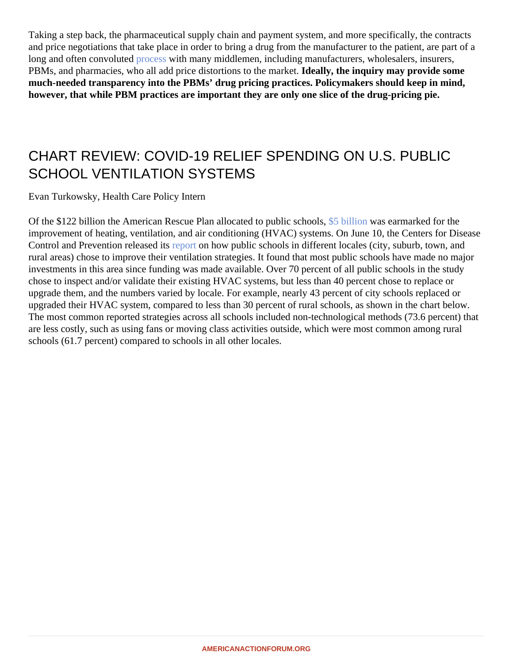Taking a step back, the pharmaceutical supply chain and payment system, and more specifically, the contrac and price negotiations that take place in order to bring a drug from the manufacturer to the patient, are part of long and often convolute process with many middlemen, including manufacturers, wholesalers, insurers, PBMs, and pharmacies, who all add price distortions to the marketly, the inquiry may provide some much-needed transparency into the PBMs' drug pricing practices. Policymakers should keep in mind, however, that while PBM practices are important they are only one slice of the drug-pricing pie.

## CHART REVIEW: COVID-19 RELIEF SPENDING ON U.S. PUBLIC SCHOOL VENTILATION SYSTEMS

Evan Turkowsky, Health Care Policy Intern

Of the \$122 billion the American Rescue Plan allocated to public schools, was earmarked for the improvement of heating, ventilation, and air conditioning (HVAC) systems lune 10, the Center Disease Control and Prevention released its ortion how public schools id ifferent locales (city, suburb, town, and rural areas chose to improve their ventilation strategies sound that most public schools have made no major investmentsin this areasince funding was made available. Over percent of all public schools in the study chose to inspect and/or validate their existing HVAC systems, but less than 40 percent chose to replace or upgrade them and the numbers varied by locale rexample nearly 43 percent of city schools placed or upgraded theiHVAC system, compared to less than 30 percent of rural schools hown in the chart below. The most common reported strategiesoss all schools cluded non-technological methods (78.6 cen) that are less costly, such as using fans nowing class activities outside hich were most common among rural schools (61.7 percent) empared to schools in lother locales.